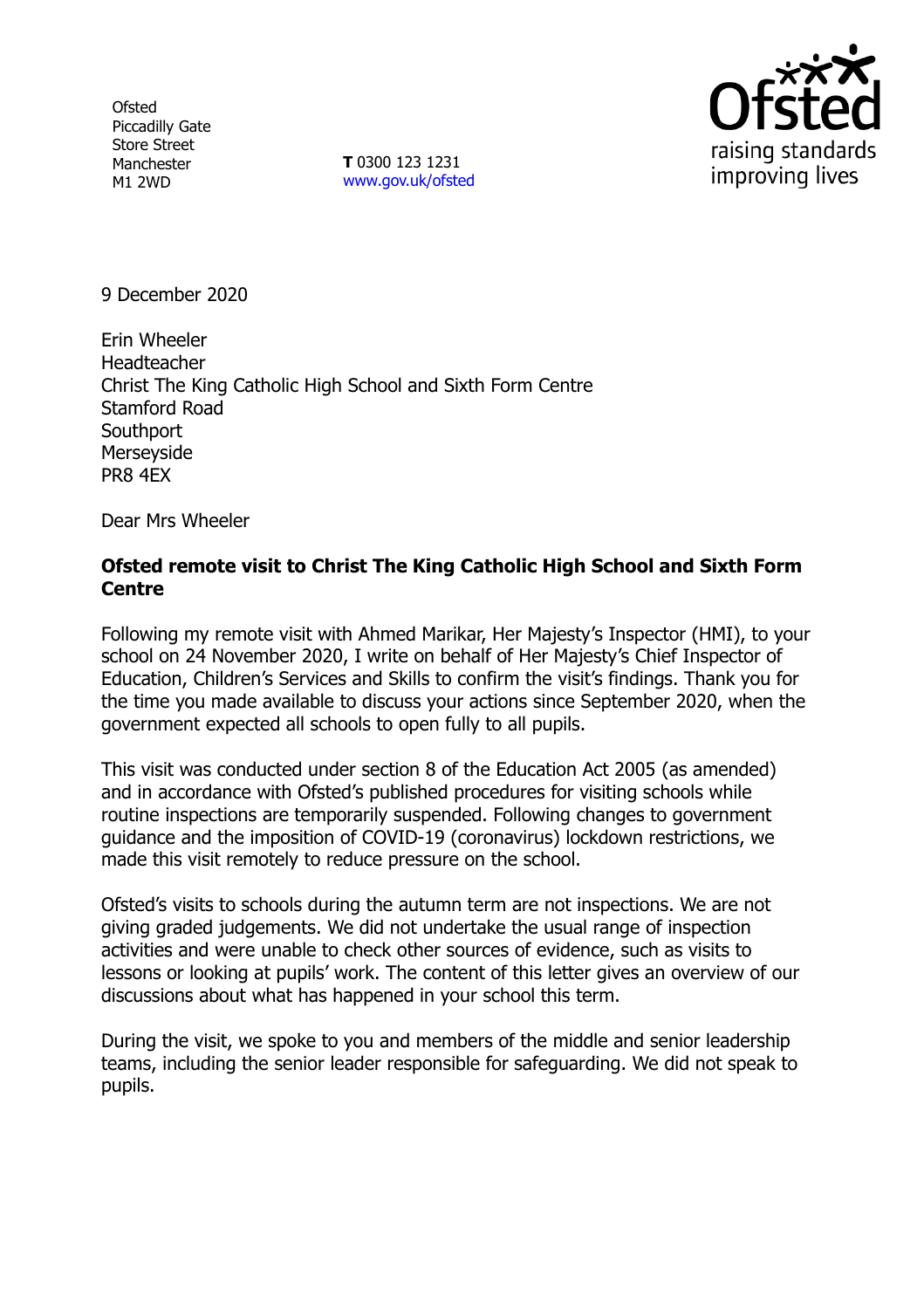**Ofsted** Piccadilly Gate Store Street Manchester M1 2WD

**T** 0300 123 1231 [www.gov.uk/ofsted](http://www.gov.uk/ofsted)



9 December 2020

Erin Wheeler **Headteacher** Christ The King Catholic High School and Sixth Form Centre Stamford Road **Southport** Merseyside PR8 4EX

Dear Mrs Wheeler

## **Ofsted remote visit to Christ The King Catholic High School and Sixth Form Centre**

Following my remote visit with Ahmed Marikar, Her Majesty's Inspector (HMI), to your school on 24 November 2020, I write on behalf of Her Majesty's Chief Inspector of Education, Children's Services and Skills to confirm the visit's findings. Thank you for the time you made available to discuss your actions since September 2020, when the government expected all schools to open fully to all pupils.

This visit was conducted under section 8 of the Education Act 2005 (as amended) and in accordance with Ofsted's published procedures for visiting schools while routine inspections are temporarily suspended. Following changes to government guidance and the imposition of COVID-19 (coronavirus) lockdown restrictions, we made this visit remotely to reduce pressure on the school.

Ofsted's visits to schools during the autumn term are not inspections. We are not giving graded judgements. We did not undertake the usual range of inspection activities and were unable to check other sources of evidence, such as visits to lessons or looking at pupils' work. The content of this letter gives an overview of our discussions about what has happened in your school this term.

During the visit, we spoke to you and members of the middle and senior leadership teams, including the senior leader responsible for safeguarding. We did not speak to pupils.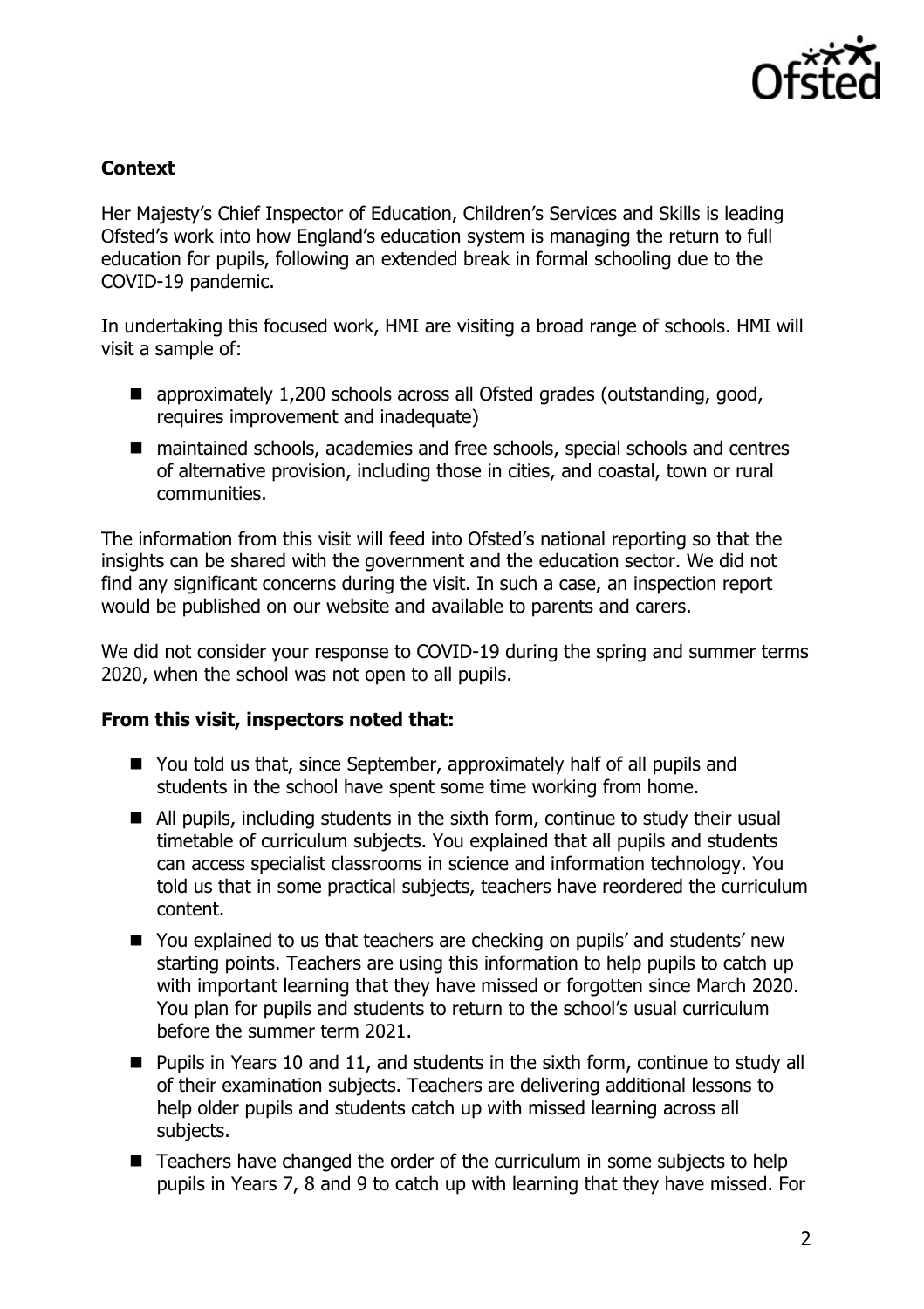

## **Context**

Her Majesty's Chief Inspector of Education, Children's Services and Skills is leading Ofsted's work into how England's education system is managing the return to full education for pupils, following an extended break in formal schooling due to the COVID-19 pandemic.

In undertaking this focused work, HMI are visiting a broad range of schools. HMI will visit a sample of:

- approximately 1,200 schools across all Ofsted grades (outstanding, good, requires improvement and inadequate)
- maintained schools, academies and free schools, special schools and centres of alternative provision, including those in cities, and coastal, town or rural communities.

The information from this visit will feed into Ofsted's national reporting so that the insights can be shared with the government and the education sector. We did not find any significant concerns during the visit. In such a case, an inspection report would be published on our website and available to parents and carers.

We did not consider your response to COVID-19 during the spring and summer terms 2020, when the school was not open to all pupils.

## **From this visit, inspectors noted that:**

- You told us that, since September, approximately half of all pupils and students in the school have spent some time working from home.
- All pupils, including students in the sixth form, continue to study their usual timetable of curriculum subjects. You explained that all pupils and students can access specialist classrooms in science and information technology. You told us that in some practical subjects, teachers have reordered the curriculum content.
- You explained to us that teachers are checking on pupils' and students' new starting points. Teachers are using this information to help pupils to catch up with important learning that they have missed or forgotten since March 2020. You plan for pupils and students to return to the school's usual curriculum before the summer term 2021.
- **Pupils in Years 10 and 11, and students in the sixth form, continue to study all** of their examination subjects. Teachers are delivering additional lessons to help older pupils and students catch up with missed learning across all subjects.
- Teachers have changed the order of the curriculum in some subjects to help pupils in Years 7, 8 and 9 to catch up with learning that they have missed. For